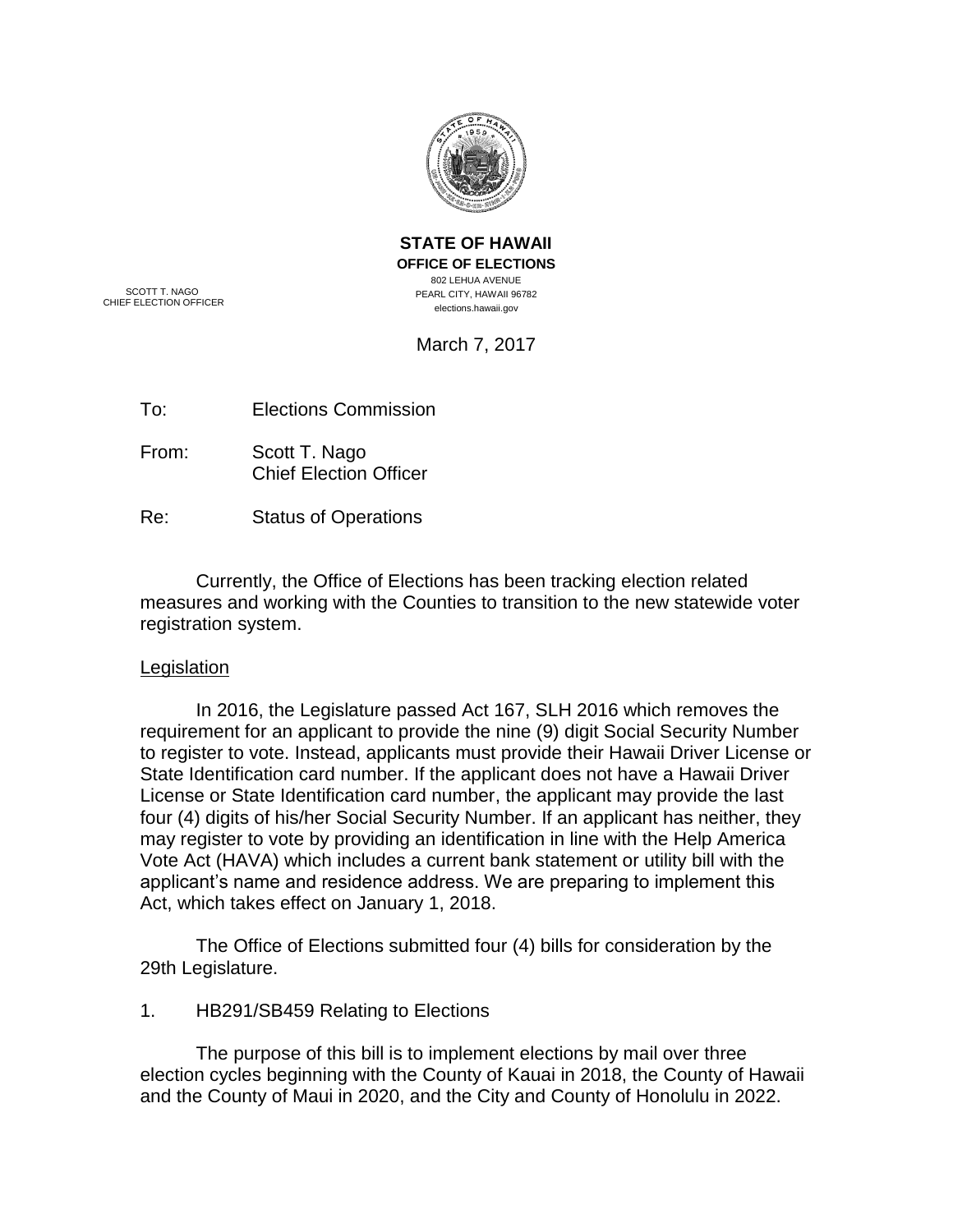

**STATE OF HAWAII OFFICE OF ELECTIONS** 802 LEHUA AVENUE PEARL CITY, HAWAII 96782 elections.hawaii.gov

SCOTT T. NAGO CHIEF ELECTION OFFICER

March 7, 2017

To: Elections Commission

From: Scott T. Nago Chief Election Officer

Re: Status of Operations

Currently, the Office of Elections has been tracking election related measures and working with the Counties to transition to the new statewide voter registration system.

# Legislation

In 2016, the Legislature passed Act 167, SLH 2016 which removes the requirement for an applicant to provide the nine (9) digit Social Security Number to register to vote. Instead, applicants must provide their Hawaii Driver License or State Identification card number. If the applicant does not have a Hawaii Driver License or State Identification card number, the applicant may provide the last four (4) digits of his/her Social Security Number. If an applicant has neither, they may register to vote by providing an identification in line with the Help America Vote Act (HAVA) which includes a current bank statement or utility bill with the applicant's name and residence address. We are preparing to implement this Act, which takes effect on January 1, 2018.

The Office of Elections submitted four (4) bills for consideration by the 29th Legislature.

1. HB291/SB459 Relating to Elections

The purpose of this bill is to implement elections by mail over three election cycles beginning with the County of Kauai in 2018, the County of Hawaii and the County of Maui in 2020, and the City and County of Honolulu in 2022.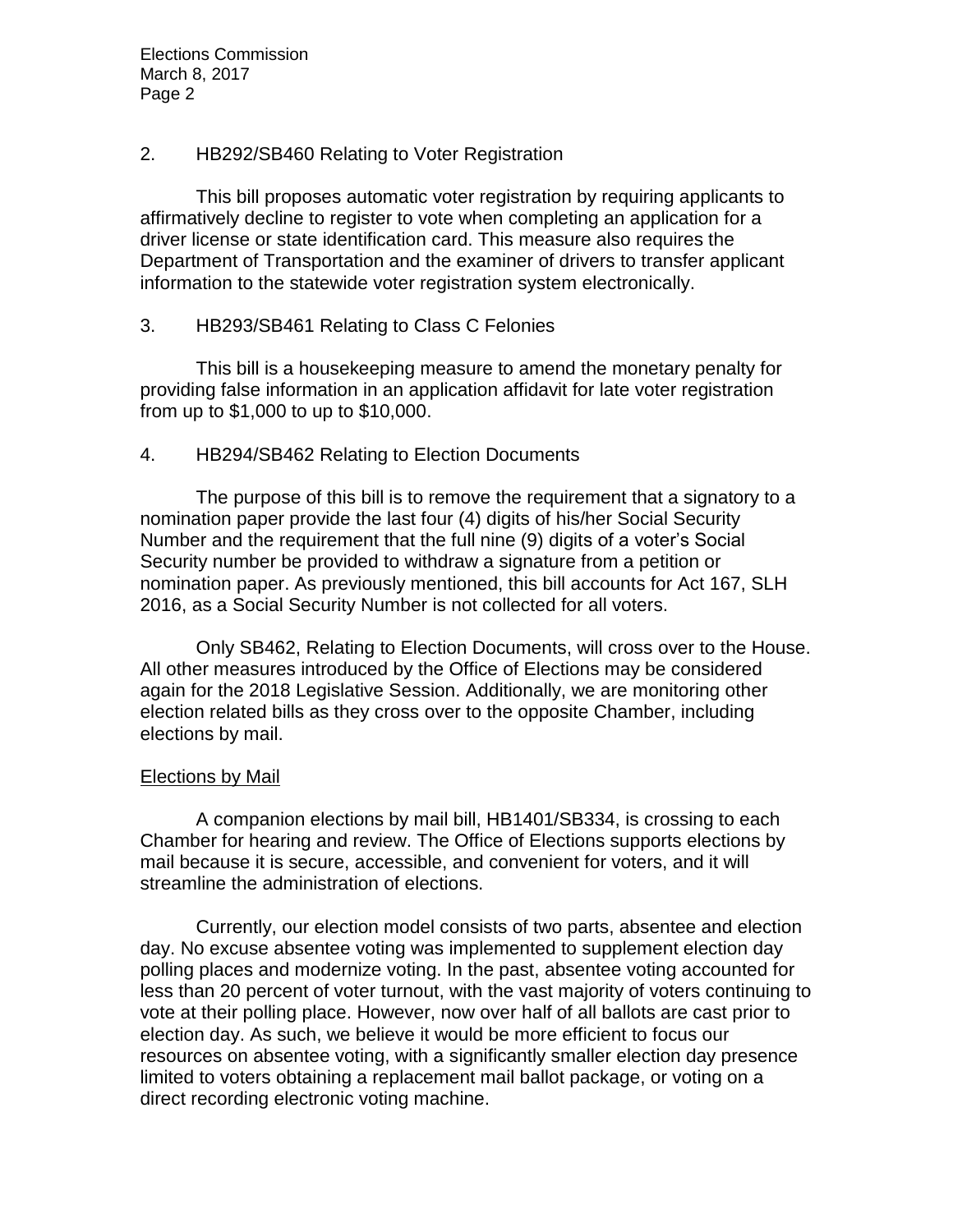Elections Commission March 8, 2017 Page 2

## 2. HB292/SB460 Relating to Voter Registration

This bill proposes automatic voter registration by requiring applicants to affirmatively decline to register to vote when completing an application for a driver license or state identification card. This measure also requires the Department of Transportation and the examiner of drivers to transfer applicant information to the statewide voter registration system electronically.

## 3. HB293/SB461 Relating to Class C Felonies

This bill is a housekeeping measure to amend the monetary penalty for providing false information in an application affidavit for late voter registration from up to \$1,000 to up to \$10,000.

## 4. HB294/SB462 Relating to Election Documents

The purpose of this bill is to remove the requirement that a signatory to a nomination paper provide the last four (4) digits of his/her Social Security Number and the requirement that the full nine (9) digits of a voter's Social Security number be provided to withdraw a signature from a petition or nomination paper. As previously mentioned, this bill accounts for Act 167, SLH 2016, as a Social Security Number is not collected for all voters.

Only SB462, Relating to Election Documents, will cross over to the House. All other measures introduced by the Office of Elections may be considered again for the 2018 Legislative Session. Additionally, we are monitoring other election related bills as they cross over to the opposite Chamber, including elections by mail.

## Elections by Mail

A companion elections by mail bill, HB1401/SB334, is crossing to each Chamber for hearing and review. The Office of Elections supports elections by mail because it is secure, accessible, and convenient for voters, and it will streamline the administration of elections.

Currently, our election model consists of two parts, absentee and election day. No excuse absentee voting was implemented to supplement election day polling places and modernize voting. In the past, absentee voting accounted for less than 20 percent of voter turnout, with the vast majority of voters continuing to vote at their polling place. However, now over half of all ballots are cast prior to election day. As such, we believe it would be more efficient to focus our resources on absentee voting, with a significantly smaller election day presence limited to voters obtaining a replacement mail ballot package, or voting on a direct recording electronic voting machine.